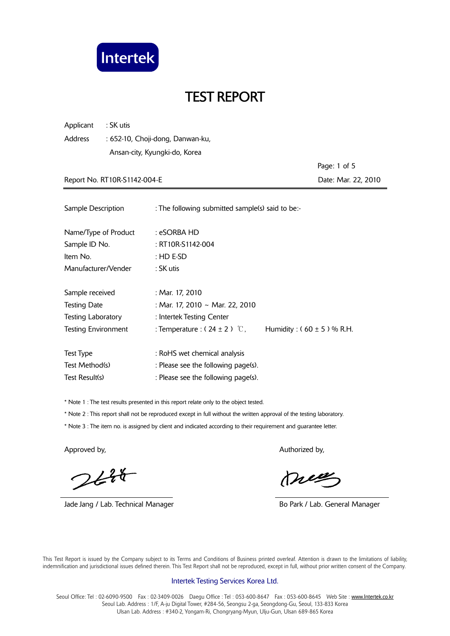

Applicant : SK utis Address : 652-10, Choji-dong, Danwan-ku, Ansan-city, Kyungki-do, Korea

 Page: 1 of 5 Report No. RT10R-S1142-004-E **Date: Mar. 22, 2010** 

| Sample Description        | : The following submitted sample(s) said to be:- |                                |
|---------------------------|--------------------------------------------------|--------------------------------|
| Name/Type of Product      | : eSORBA HD                                      |                                |
| Sample ID No.             | $: RT10R-S1142-004$                              |                                |
| Item No.                  | $:$ HD E-SD                                      |                                |
| Manufacturer/Vender       | : SK utis                                        |                                |
| Sample received           | : Mar. 17, 2010                                  |                                |
| <b>Testing Date</b>       | : Mar. 17, 2010 ~ Mar. 22, 2010                  |                                |
| <b>Testing Laboratory</b> | : Intertek Testing Center                        |                                |
| Testing Environment       | : Temperature : $(24 \pm 2)$ °C,                 | Humidity : $(60 \pm 5)$ % R.H. |
| Test Type                 | : RoHS wet chemical analysis                     |                                |
| Test Method(s)            | : Please see the following page(s).              |                                |
| Test Result(s)            | : Please see the following page(s).              |                                |

\* Note 1 : The test results presented in this report relate only to the object tested.

\* Note 2 : This report shall not be reproduced except in full without the written approval of the testing laboratory.

\* Note 3 : The item no. is assigned by client and indicated according to their requirement and guarantee letter.

 $244$ 

Jade Jang / Lab. Technical Manager **Bo Park / Lab. General Manager** Bo Park / Lab. General Manager

Approved by, Authorized by, Authorized by, Authorized by,

meg

 This Test Report is issued by the Company subject to its Terms and Conditions of Business printed overleaf. Attention is drawn to the limitations of liability, indemnification and jurisdictional issues defined therein. This Test Report shall not be reproduced, except in full, without prior written consent of the Company.

#### Intertek Testing Services Korea Ltd.

Seoul Office: Tel: 02-6090-9500 Fax: 02-3409-0026 Daegu Office: Tel: 053-600-8647 Fax: 053-600-8645 Web Site: www.Intertek.co.kr Seoul Lab. Address : 1/F, A-ju Digital Tower, #284-56, Seongsu 2-ga, Seongdong-Gu, Seoul, 133-833 Korea Ulsan Lab. Address : #340-2, Yongam-Ri, Chongryang-Myun, Ulju-Gun, Ulsan 689-865 Korea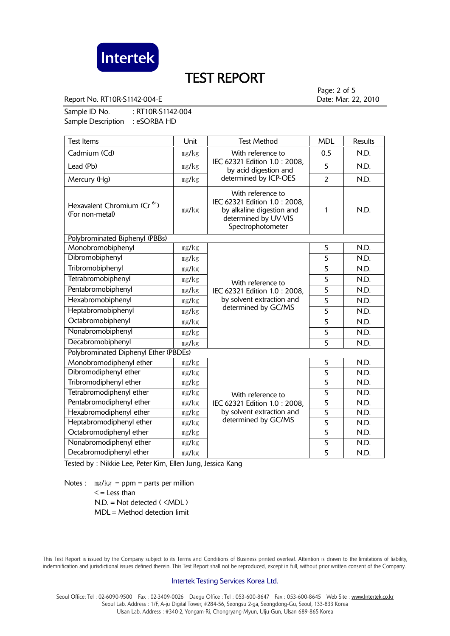

Report No. RT10R-S1142-004-E **Date: Mar. 22, 2010** 

Page: 2 of 5

Sample ID No. : RT10R-S1142-004 Sample Description : eSORBA HD

| <b>Test Items</b>                                          | Unit  | <b>Test Method</b>                                                                                                                                                                                                                            | <b>MDL</b>     | <b>Results</b> |
|------------------------------------------------------------|-------|-----------------------------------------------------------------------------------------------------------------------------------------------------------------------------------------------------------------------------------------------|----------------|----------------|
| Cadmium (Cd)                                               | mg/kg | With reference to                                                                                                                                                                                                                             | 0.5            | N.D.           |
| Lead (Pb)                                                  | mg/kg | IEC 62321 Edition 1.0 : 2008,<br>by acid digestion and<br>determined by ICP-OES                                                                                                                                                               | 5              | N.D.           |
| Mercury (Hg)                                               | mg/kg |                                                                                                                                                                                                                                               | $\overline{2}$ | N.D.           |
| Hexavalent Chromium (Cr <sup>6+</sup> )<br>(For non-metal) | mg/kg | With reference to<br>IEC 62321 Edition 1.0: 2008,<br>by alkaline digestion and<br>determined by UV-VIS<br>Spectrophotometer                                                                                                                   | 1              | N.D.           |
| Polybrominated Biphenyl (PBBs)                             |       |                                                                                                                                                                                                                                               |                |                |
| Monobromobiphenyl                                          | mg/kg | 5<br>5<br>$\overline{5}$<br>5<br>With reference to<br>5<br>IEC 62321 Edition 1.0 : 2008,<br>$\overline{5}$<br>by solvent extraction and<br>determined by GC/MS<br>$\overline{5}$<br>5<br>5                                                    |                | N.D.           |
| Dibromobiphenyl                                            | mg/kg |                                                                                                                                                                                                                                               |                | N.D.           |
| Tribromobiphenyl                                           | mg/kg |                                                                                                                                                                                                                                               |                | N.D.           |
| Tetrabromobiphenyl                                         | mg/kg |                                                                                                                                                                                                                                               |                | N.D.           |
| Pentabromobiphenyl                                         | mg/kg |                                                                                                                                                                                                                                               |                | N.D.           |
| Hexabromobiphenyl                                          | mg/kg |                                                                                                                                                                                                                                               |                | N.D.           |
| Heptabromobiphenyl                                         | mg/kg |                                                                                                                                                                                                                                               |                | N.D.           |
| Octabromobiphenyl                                          | mg/kg |                                                                                                                                                                                                                                               |                | N.D.           |
| Nonabromobiphenyl                                          | mg/kg |                                                                                                                                                                                                                                               |                | N.D.           |
| Decabromobiphenyl                                          | mg/kg |                                                                                                                                                                                                                                               | 5              | N.D.           |
| Polybrominated Diphenyl Ether (PBDEs)                      |       |                                                                                                                                                                                                                                               |                |                |
| Monobromodiphenyl ether                                    | mg/kg |                                                                                                                                                                                                                                               | 5              | N.D.           |
| Dibromodiphenyl ether                                      | mg/kg | $\overline{5}$<br>5<br>5<br>With reference to<br>$\overline{5}$<br>IEC 62321 Edition 1.0: 2008,<br>$\overline{5}$<br>by solvent extraction and<br>determined by GC/MS<br>$\overline{5}$<br>$\overline{5}$<br>$\overline{5}$<br>$\overline{5}$ |                | N.D.           |
| Tribromodiphenyl ether                                     | mg/kg |                                                                                                                                                                                                                                               |                | N.D.           |
| Tetrabromodiphenyl ether                                   | mg/kg |                                                                                                                                                                                                                                               |                | N.D.           |
| Pentabromodiphenyl ether                                   | mg/kg |                                                                                                                                                                                                                                               |                | N.D.           |
| Hexabromodiphenyl ether                                    | mg/kg |                                                                                                                                                                                                                                               |                | N.D.           |
| Heptabromodiphenyl ether                                   | mg/kg |                                                                                                                                                                                                                                               |                | N.D.           |
| Octabromodiphenyl ether                                    | mg/kg |                                                                                                                                                                                                                                               | N.D.           |                |
| Nonabromodiphenyl ether                                    | mg/kg |                                                                                                                                                                                                                                               | N.D.           |                |
| Decabromodiphenyl ether                                    | mg/kg |                                                                                                                                                                                                                                               | N.D.           |                |

Tested by : Nikkie Lee, Peter Kim, Ellen Jung, Jessica Kang

Notes :  $mg/kg = ppm = parts per million$  $\leq$  = Less than  $N.D. = Not detected ( **MDL**)$ MDL = Method detection limit

 This Test Report is issued by the Company subject to its Terms and Conditions of Business printed overleaf. Attention is drawn to the limitations of liability, indemnification and jurisdictional issues defined therein. This Test Report shall not be reproduced, except in full, without prior written consent of the Company.

#### Intertek Testing Services Korea Ltd.

Seoul Office: Tel: 02-6090-9500 Fax: 02-3409-0026 Daegu Office: Tel: 053-600-8647 Fax: 053-600-8645 Web Site: www.Intertek.co.kr Seoul Lab. Address : 1/F, A-ju Digital Tower, #284-56, Seongsu 2-ga, Seongdong-Gu, Seoul, 133-833 Korea Ulsan Lab. Address : #340-2, Yongam-Ri, Chongryang-Myun, Ulju-Gun, Ulsan 689-865 Korea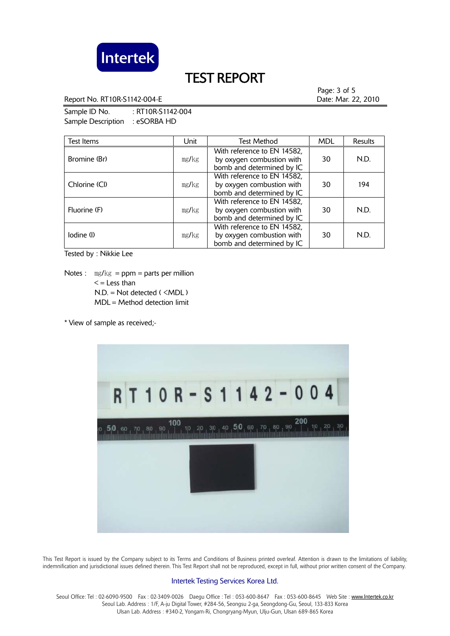

Report No. RT10R-S1142-004-E **Date: Mar. 22, 2010** 

Page: 3 of 5

Sample ID No. : RT10R-S1142-004 Sample Description : eSORBA HD

| Test Items    | Unit  | <b>Test Method</b>                                                                    | <b>MDL</b> | <b>Results</b> |
|---------------|-------|---------------------------------------------------------------------------------------|------------|----------------|
| Bromine (Br)  | mg/kg | With reference to EN 14582,<br>by oxygen combustion with<br>bomb and determined by IC | 30         | N.D.           |
| Chlorine (Cl) | mg/kg | With reference to EN 14582,<br>by oxygen combustion with<br>bomb and determined by IC | 30         | 194            |
| Fluorine (F)  | mg/kg | With reference to EN 14582,<br>by oxygen combustion with<br>bomb and determined by IC | 30         | N.D.           |
| lodine (l)    | mg/kg | With reference to EN 14582,<br>by oxygen combustion with<br>bomb and determined by IC | 30         | N.D.           |

Tested by : Nikkie Lee

Notes :  $mg/kg = ppm = parts per million$  $\leq$  = Less than N.D. = Not detected ( <MDL ) MDL = Method detection limit

\* View of sample as received;-



 This Test Report is issued by the Company subject to its Terms and Conditions of Business printed overleaf. Attention is drawn to the limitations of liability, indemnification and jurisdictional issues defined therein. This Test Report shall not be reproduced, except in full, without prior written consent of the Company.

#### Intertek Testing Services Korea Ltd.

Seoul Office: Tel: 02-6090-9500 Fax: 02-3409-0026 Daegu Office: Tel: 053-600-8647 Fax: 053-600-8645 Web Site: www.Intertek.co.kr Seoul Lab. Address : 1/F, A-ju Digital Tower, #284-56, Seongsu 2-ga, Seongdong-Gu, Seoul, 133-833 Korea Ulsan Lab. Address : #340-2, Yongam-Ri, Chongryang-Myun, Ulju-Gun, Ulsan 689-865 Korea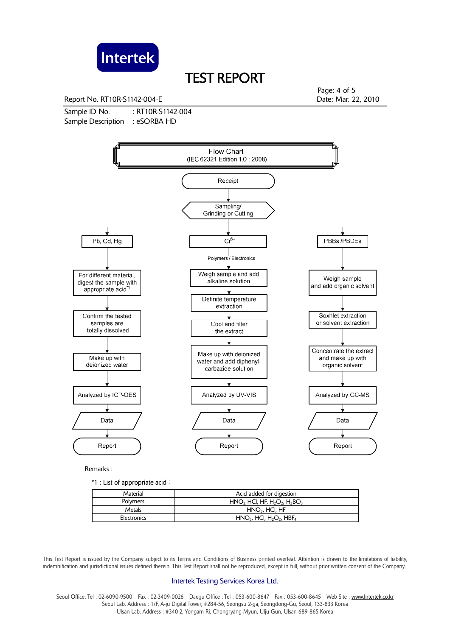

Report No. RT10R-S1142-004-E **Date: Mar. 22, 2010** 

Sample ID No. : RT10R-S1142-004 Sample Description : eSORBA HD

Page: 4 of 5



Remarks :

\*1 : List of appropriate acid:

| Material    | Acid added for digestion                                       |
|-------------|----------------------------------------------------------------|
| Polymers    | $HNO3 HCl, HF, H2O2, H3BO3$                                    |
| Metals      | $HNO3$ , HCl, HF                                               |
| Electronics | $HNO3$ , HCI, H <sub>2</sub> O <sub>2</sub> , HBF <sub>4</sub> |

 This Test Report is issued by the Company subject to its Terms and Conditions of Business printed overleaf. Attention is drawn to the limitations of liability, indemnification and jurisdictional issues defined therein. This Test Report shall not be reproduced, except in full, without prior written consent of the Company.

#### Intertek Testing Services Korea Ltd.

Seoul Office: Tel : 02-6090-9500 Fax : 02-3409-0026 Daegu Office : Tel : 053-600-8647 Fax : 053-600-8645 Web Site : www.Intertek.co.kr Seoul Lab. Address : 1/F, A-ju Digital Tower, #284-56, Seongsu 2-ga, Seongdong-Gu, Seoul, 133-833 Korea Ulsan Lab. Address : #340-2, Yongam-Ri, Chongryang-Myun, Ulju-Gun, Ulsan 689-865 Korea